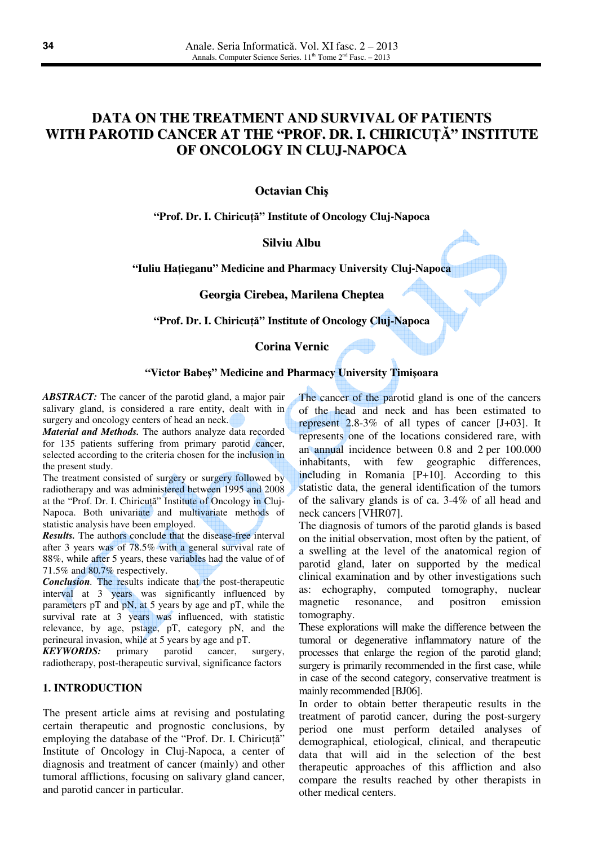# **DATA ON THE TREATMENT AND SURVIVAL OF PATIENTS WITH PAROTID CANCER AT THE "PROF. DR. I. CHIRICU**ŢĂ**" INSTITUTE OF ONCOLOGY IN CLUJ-NAPOCA**

**Octavian Chi**ş

**"Prof. Dr. I. Chiricu**ţă**" Institute of Oncology Cluj-Napoca** 

**Silviu Albu**

**"Iuliu Ha**ţ**ieganu" Medicine and Pharmacy University Cluj-Napoca** 

**Georgia Cirebea, Marilena Cheptea**

**"Prof. Dr. I. Chiricu**ţă**" Institute of Oncology Cluj-Napoca** 

# **Corina Vernic**

#### **"Victor Babe**ş**" Medicine and Pharmacy University Timi**ş**oara**

*ABSTRACT:* The cancer of the parotid gland, a major pair salivary gland, is considered a rare entity, dealt with in surgery and oncology centers of head an neck.

*Material and Methods.* The authors analyze data recorded for 135 patients suffering from primary parotid cancer, selected according to the criteria chosen for the inclusion in the present study.

The treatment consisted of surgery or surgery followed by radiotherapy and was administered between 1995 and 2008 at the "Prof. Dr. I. Chiricuţă" Institute of Oncology in Cluj-Napoca. Both univariate and multivariate methods of statistic analysis have been employed.

*Results.* The authors conclude that the disease-free interval after 3 years was of 78.5% with a general survival rate of 88%, while after 5 years, these variables had the value of of 71.5% and 80.7% respectively.

*Conclusion.* The results indicate that the post-therapeutic interval at 3 years was significantly influenced by parameters pT and pN, at 5 years by age and pT, while the survival rate at 3 years was influenced, with statistic relevance, by age, pstage, pT, category pN, and the perineural invasion, while at 5 years by age and pT.

*KEYWORDS:* primary parotid cancer, surgery, radiotherapy, post-therapeutic survival, significance factors

## **1. INTRODUCTION**

The present article aims at revising and postulating certain therapeutic and prognostic conclusions, by employing the database of the "Prof. Dr. I. Chiricută" Institute of Oncology in Cluj-Napoca, a center of diagnosis and treatment of cancer (mainly) and other tumoral afflictions, focusing on salivary gland cancer, and parotid cancer in particular.

The cancer of the parotid gland is one of the cancers of the head and neck and has been estimated to represent 2.8-3% of all types of cancer [J+03]. It represents one of the locations considered rare, with an annual incidence between 0.8 and 2 per 100.000 inhabitants, with few geographic differences, including in Romania [P+10]. According to this statistic data, the general identification of the tumors of the salivary glands is of ca. 3-4% of all head and neck cancers [VHR07].

The diagnosis of tumors of the parotid glands is based on the initial observation, most often by the patient, of a swelling at the level of the anatomical region of parotid gland, later on supported by the medical clinical examination and by other investigations such as: echography, computed tomography, nuclear magnetic resonance, and positron emission tomography.

These explorations will make the difference between the tumoral or degenerative inflammatory nature of the processes that enlarge the region of the parotid gland; surgery is primarily recommended in the first case, while in case of the second category, conservative treatment is mainly recommended [BJ06].

In order to obtain better therapeutic results in the treatment of parotid cancer, during the post-surgery period one must perform detailed analyses of demographical, etiological, clinical, and therapeutic data that will aid in the selection of the best therapeutic approaches of this affliction and also compare the results reached by other therapists in other medical centers.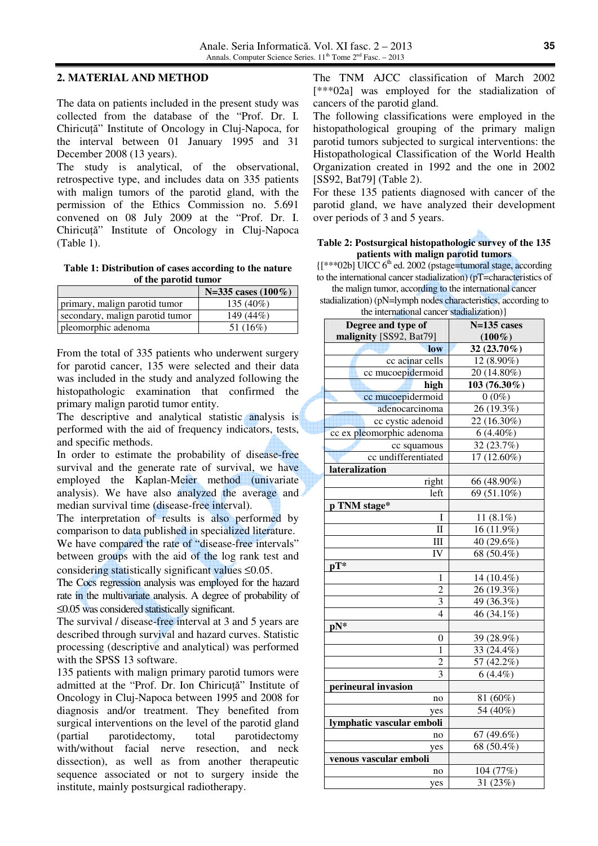#### **2. MATERIAL AND METHOD**

The data on patients included in the present study was collected from the database of the "Prof. Dr. I. Chiricuţă" Institute of Oncology in Cluj-Napoca, for the interval between 01 January 1995 and 31 December 2008 (13 years).

The study is analytical, of the observational, retrospective type, and includes data on 335 patients with malign tumors of the parotid gland, with the permission of the Ethics Commission no. 5.691 convened on 08 July 2009 at the "Prof. Dr. I. Chiricuţă" Institute of Oncology in Cluj-Napoca (Table 1).

**Table 1: Distribution of cases according to the nature of the parotid tumor** 

|                                 | N=335 cases $(100\%)$ |
|---------------------------------|-----------------------|
| primary, malign parotid tumor   | $135(40\%)$           |
| secondary, malign parotid tumor | 149 (44%)             |
| pleomorphic adenoma             | 51 (16%)              |

From the total of 335 patients who underwent surgery for parotid cancer, 135 were selected and their data was included in the study and analyzed following the histopathologic examination that confirmed the primary malign parotid tumor entity.

The descriptive and analytical statistic analysis is performed with the aid of frequency indicators, tests, and specific methods.

In order to estimate the probability of disease-free survival and the generate rate of survival, we have employed the Kaplan-Meier method (univariate analysis). We have also analyzed the average and median survival time (disease-free interval).

The interpretation of results is also performed by comparison to data published in specialized literature. We have compared the rate of "disease-free intervals" between groups with the aid of the log rank test and considering statistically significant values ≤0.05.

The Cocs regression analysis was employed for the hazard rate in the multivariate analysis. A degree of probability of ≤0.05 was considered statistically significant.

The survival / disease-free interval at 3 and 5 years are described through survival and hazard curves. Statistic processing (descriptive and analytical) was performed with the SPSS 13 software.

135 patients with malign primary parotid tumors were admitted at the "Prof. Dr. Ion Chiricută" Institute of Oncology in Cluj-Napoca between 1995 and 2008 for diagnosis and/or treatment. They benefited from surgical interventions on the level of the parotid gland (partial parotidectomy, total parotidectomy with/without facial nerve resection, and neck dissection), as well as from another therapeutic sequence associated or not to surgery inside the institute, mainly postsurgical radiotherapy.

The TNM AJCC classification of March 2002 [\*\*\*02a] was employed for the stadialization of cancers of the parotid gland.

The following classifications were employed in the histopathological grouping of the primary malign parotid tumors subjected to surgical interventions: the Histopathological Classification of the World Health Organization created in 1992 and the one in 2002 [SS92, Bat79] (Table 2).

For these 135 patients diagnosed with cancer of the parotid gland, we have analyzed their development over periods of 3 and 5 years.

#### **Table 2: Postsurgical histopathologic survey of the 135 patients with malign parotid tumors**

{[\*\*\*02b] UICC 6th ed. 2002 (pstage=tumoral stage, according to the international cancer stadialization) (pT=characteristics of

the malign tumor, according to the international cancer

stadialization) (pN=lymph nodes characteristics, according to the international cancer stadialization)}

| $\mu$ . The matronal cancer stadianzation) $\mu$<br>Degree and type of | $N=135$ cases           |
|------------------------------------------------------------------------|-------------------------|
| malignity [SS92, Bat79]                                                | $(100\%)$               |
| low                                                                    | 32 (23.70%)             |
| cc acinar cells                                                        | 12 (8.90%)              |
| cc mucoepidermoid                                                      | 20 (14.80%)             |
| high                                                                   | 103 (76.30%)            |
| cc mucoepidermoid                                                      | $0(0\%)$                |
| adenocarcinoma                                                         | $\overline{26}$ (19.3%) |
| cc cystic adenoid                                                      | 22 (16.30%)             |
| cc ex pleomorphic adenoma                                              |                         |
|                                                                        | $6(4.40\%)$             |
| cc squamous                                                            | 32 (23.7%)              |
| cc undifferentiated                                                    | 17 (12.60%)             |
| lateralization                                                         |                         |
| right                                                                  | 66 (48.90%)             |
| left                                                                   | 69 (51.10%)             |
| p TNM stage*                                                           |                         |
| I                                                                      | 11 $(8.1\%)$            |
| $\mathbf{I}$                                                           | 16 (11.9%)              |
| III                                                                    | 40 (29.6%)              |
| IV                                                                     | 68 (50.4%)              |
| $pT^*$                                                                 |                         |
| 1                                                                      | 14 (10.4%)              |
| $\overline{c}$                                                         | 26 (19.3%)              |
| 3                                                                      | 49 (36.3%)              |
| 4                                                                      | 46 (34.1%)              |
| pN*                                                                    |                         |
| $\boldsymbol{0}$                                                       | 39 (28.9%)              |
| $\mathbf{1}$                                                           | 33 $(24.4\%)$           |
| 2                                                                      | 57 (42.2%)              |
| 3                                                                      | $6(4.4\%)$              |
| perineural invasion                                                    |                         |
| no                                                                     | 81 (60%)                |
| yes                                                                    | 54 (40%)                |
| lymphatic vascular emboli                                              |                         |
| no                                                                     | 67 (49.6%)              |
| yes                                                                    | 68 (50.4%)              |
| venous vascular emboli                                                 |                         |
| no                                                                     | 104 (77%)               |
| yes                                                                    | 31 (23%)                |
|                                                                        |                         |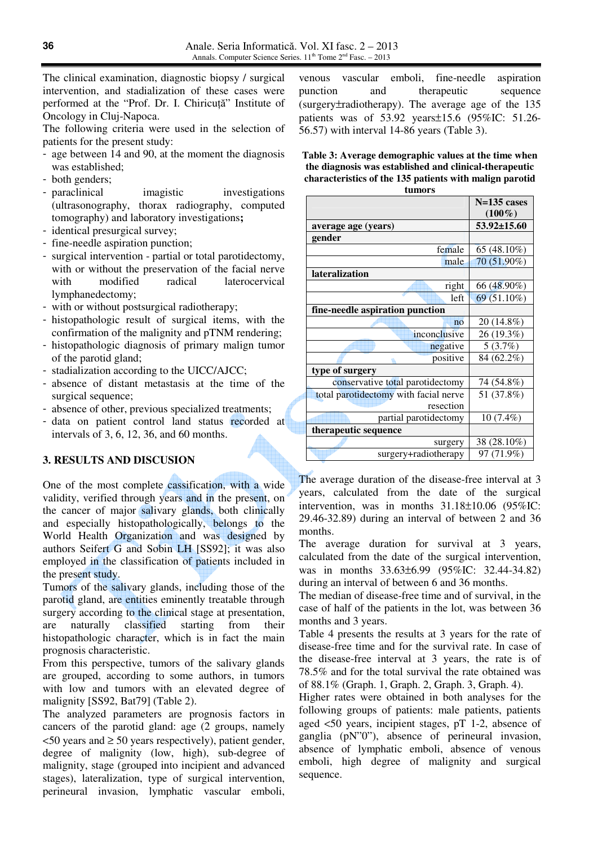The clinical examination, diagnostic biopsy / surgical intervention, and stadialization of these cases were performed at the "Prof. Dr. I. Chiricuţă" Institute of Oncology in Cluj-Napoca.

The following criteria were used in the selection of patients for the present study:

- age between 14 and 90, at the moment the diagnosis was established;
- both genders;
- paraclinical imagistic investigations (ultrasonography, thorax radiography, computed tomography) and laboratory investigations**;**
- identical presurgical survey;
- fine-needle aspiration punction;
- surgical intervention partial or total parotidectomy, with or without the preservation of the facial nerve with modified radical laterocervical lymphanedectomy;
- with or without postsurgical radiotherapy;
- histopathologic result of surgical items, with the confirmation of the malignity and pTNM rendering;
- histopathologic diagnosis of primary malign tumor of the parotid gland;
- stadialization according to the UICC/AJCC;
- absence of distant metastasis at the time of the surgical sequence;
- absence of other, previous specialized treatments;
- data on patient control land status recorded at intervals of 3, 6, 12, 36, and 60 months.

# **3. RESULTS AND DISCUSION**

One of the most complete cassification, with a wide validity, verified through years and in the present, on the cancer of major salivary glands, both clinically and especially histopathologically, belongs to the World Health Organization and was designed by authors Seifert G and Sobin LH [SS92]; it was also employed in the classification of patients included in the present study.

Tumors of the salivary glands, including those of the parotid gland, are entities eminently treatable through surgery according to the clinical stage at presentation, are naturally classified starting from their histopathologic character, which is in fact the main prognosis characteristic.

From this perspective, tumors of the salivary glands are grouped, according to some authors, in tumors with low and tumors with an elevated degree of malignity [SS92, Bat79] (Table 2).

The analyzed parameters are prognosis factors in cancers of the parotid gland: age (2 groups, namely  $\leq$ 50 years and  $\geq$  50 years respectively), patient gender, degree of malignity (low, high), sub-degree of malignity, stage (grouped into incipient and advanced stages), lateralization, type of surgical intervention, perineural invasion, lymphatic vascular emboli, venous vascular emboli, fine-needle aspiration punction and therapeutic sequence (surgery±radiotherapy). The average age of the 135 patients was of 53.92 years±15.6 (95%IC: 51.26- 56.57) with interval 14-86 years (Table 3).

**Table 3: Average demographic values at the time when the diagnosis was established and clinical-therapeutic characteristics of the 135 patients with malign parotid tumors** 

|                                       | $N=135$ cases |
|---------------------------------------|---------------|
|                                       | $(100\%)$     |
|                                       |               |
| average age (years)                   | 53.92±15.60   |
| gender                                |               |
| female                                | 65 (48.10%)   |
| male                                  | 70 (51.90%)   |
| <b>lateralization</b>                 |               |
| right                                 | 66 (48.90%)   |
| left                                  | $69(51.10\%)$ |
| fine-needle aspiration punction       |               |
| no                                    | 20 (14.8%)    |
| inconclusive                          | 26 (19.3%)    |
| negative                              | 5(3.7%)       |
| positive                              | 84 (62.2%)    |
| type of surgery                       |               |
| conservative total parotidectomy      | 74 (54.8%)    |
| total parotidectomy with facial nerve | 51 (37.8%)    |
| resection                             |               |
| partial parotidectomy                 | 10 (7.4%)     |
| therapeutic sequence                  |               |
| surgery                               | 38 (28.10%)   |
| surgery+radiotherapy                  | 97 (71.9%)    |

The average duration of the disease-free interval at 3 years, calculated from the date of the surgical intervention, was in months 31.18±10.06 (95%IC: 29.46-32.89) during an interval of between 2 and 36 months.

The average duration for survival at 3 years, calculated from the date of the surgical intervention, was in months 33.63±6.99 (95%IC: 32.44-34.82) during an interval of between 6 and 36 months.

The median of disease-free time and of survival, in the case of half of the patients in the lot, was between 36 months and 3 years.

Table 4 presents the results at 3 years for the rate of disease-free time and for the survival rate. In case of the disease-free interval at 3 years, the rate is of 78.5% and for the total survival the rate obtained was of 88.1% (Graph. 1, Graph. 2, Graph. 3, Graph. 4).

Higher rates were obtained in both analyses for the following groups of patients: male patients, patients aged <50 years, incipient stages, pT 1-2, absence of ganglia (pN"0"), absence of perineural invasion, absence of lymphatic emboli, absence of venous emboli, high degree of malignity and surgical sequence.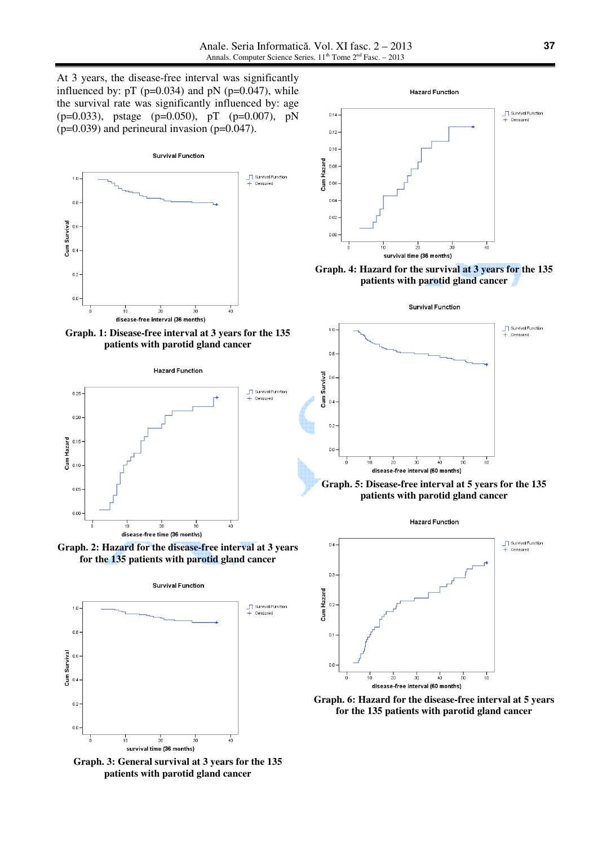At 3 years, the disease-free interval was significantly influenced by:  $pT$  ( $p=0.034$ ) and  $pN$  ( $p=0.047$ ), while the survival rate was significantly influenced by: age (p=0.033), pstage (p=0.050), pT (p=0.007), pN  $(p=0.039)$  and perineural invasion  $(p=0.047)$ .



**Graph. 1: Disease-free interval at 3 years for the 135 patients with parotid gland cancer** 



**Graph. 2: Hazard for the disease-free interval at 3 years for the 135 patients with parotid gland cancer** 



**Graph. 3: General survival at 3 years for the 135 patients with parotid gland cancer**



**Graph. 4: Hazard for the survival at 3 years for the 135 patients with parotid gland cancer** 

#### **Survival Function**





**Hazard Function** 



**Graph. 6: Hazard for the disease-free interval at 5 years for the 135 patients with parotid gland cancer**

**37**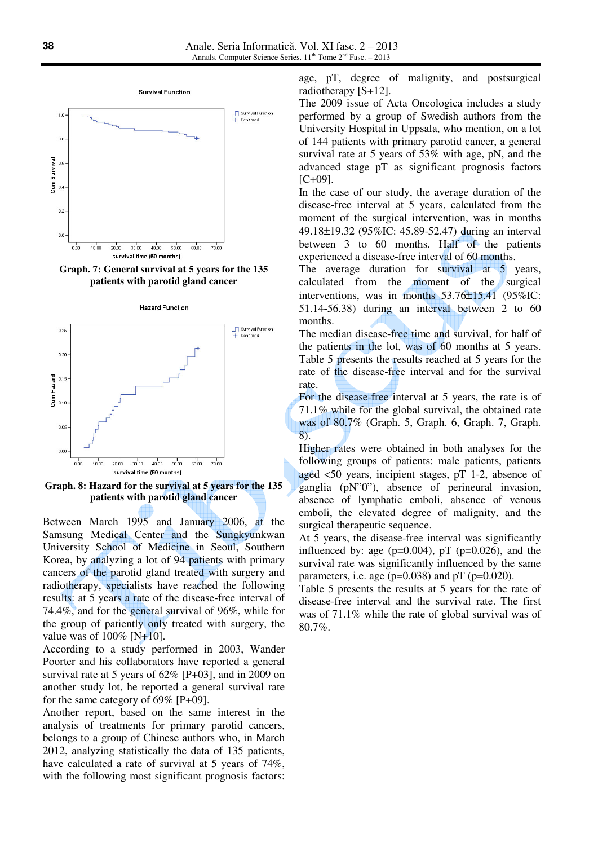

**Graph. 7: General survival at 5 years for the 135 patients with parotid gland cancer** 





**Graph. 8: Hazard for the survival at 5 years for the 135 patients with parotid gland cancer** 

Between March 1995 and January 2006, at the Samsung Medical Center and the Sungkyunkwan University School of Medicine in Seoul, Southern Korea, by analyzing a lot of 94 patients with primary cancers of the parotid gland treated with surgery and radiotherapy, specialists have reached the following results: at 5 years a rate of the disease-free interval of 74.4%, and for the general survival of 96%, while for the group of patiently only treated with surgery, the value was of  $100\%$  [N+10].

According to a study performed in 2003, Wander Poorter and his collaborators have reported a general survival rate at 5 years of 62% [P+03], and in 2009 on another study lot, he reported a general survival rate for the same category of 69% [P+09].

Another report, based on the same interest in the analysis of treatments for primary parotid cancers, belongs to a group of Chinese authors who, in March 2012, analyzing statistically the data of 135 patients, have calculated a rate of survival at 5 years of 74%, with the following most significant prognosis factors: age, pT, degree of malignity, and postsurgical radiotherapy [S+12].

The 2009 issue of Acta Oncologica includes a study performed by a group of Swedish authors from the University Hospital in Uppsala, who mention, on a lot of 144 patients with primary parotid cancer, a general survival rate at 5 years of 53% with age, pN, and the advanced stage pT as significant prognosis factors [C+09].

In the case of our study, the average duration of the disease-free interval at 5 years, calculated from the moment of the surgical intervention, was in months 49.18±19.32 (95%IC: 45.89-52.47) during an interval between 3 to 60 months. Half of the patients experienced a disease-free interval of 60 months.

The average duration for survival at 5 years, calculated from the moment of the surgical interventions, was in months 53.76±15.41 (95%IC: 51.14-56.38) during an interval between 2 to 60 months.

The median disease-free time and survival, for half of the patients in the lot, was of 60 months at 5 years. Table 5 presents the results reached at 5 years for the rate of the disease-free interval and for the survival rate.

For the disease-free interval at 5 years, the rate is of 71.1% while for the global survival, the obtained rate was of 80.7% (Graph. 5, Graph. 6, Graph. 7, Graph. 8).

Higher rates were obtained in both analyses for the following groups of patients: male patients, patients aged <50 years, incipient stages, pT 1-2, absence of ganglia (pN"0"), absence of perineural invasion, absence of lymphatic emboli, absence of venous emboli, the elevated degree of malignity, and the surgical therapeutic sequence.

At 5 years, the disease-free interval was significantly influenced by: age ( $p=0.004$ ),  $pT$  ( $p=0.026$ ), and the survival rate was significantly influenced by the same parameters, i.e. age ( $p=0.038$ ) and  $pT$  ( $p=0.020$ ).

Table 5 presents the results at 5 years for the rate of disease-free interval and the survival rate. The first was of 71.1% while the rate of global survival was of 80.7%.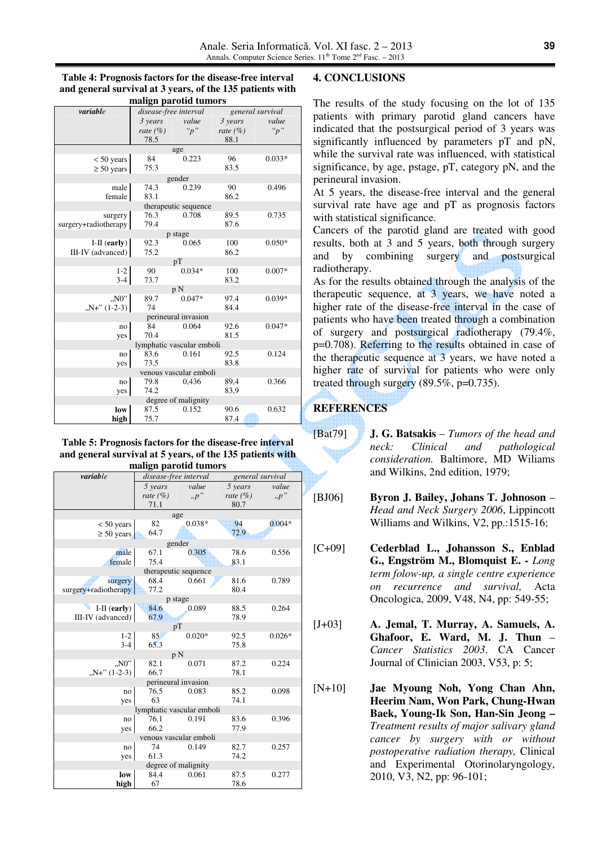| Table 4: Prognosis factors for the disease-free interval  |
|-----------------------------------------------------------|
| and general survival at 3 years, of the 135 patients with |
| malign parotid tumors                                     |

| шандн рагони ташогэ       |                       |                      |              |                  |
|---------------------------|-----------------------|----------------------|--------------|------------------|
| variable                  | disease-free interval |                      |              | general survival |
|                           | 3 years               | value                | 3 years      | value            |
|                           | rate $(\% )$          | "p"                  | rate $(\% )$ | "p"              |
|                           | 78.5                  |                      | 88.1         |                  |
|                           |                       | age                  |              |                  |
| $< 50$ years              | 84                    | 0.223                | 96           | $0.033*$         |
| $\geq 50$ years           | 75.3                  |                      | 83.5         |                  |
|                           |                       | gender               |              |                  |
| male                      | 74.3                  | 0.239                | 90           | 0.496            |
| female                    | 83.1                  |                      | 86.2         |                  |
|                           |                       | therapeutic sequence |              |                  |
| surgery                   | 76.3                  | 0.708                | 89.5         | 0.735            |
| surgery+radiotherapy      | 79.4                  |                      | 87.6         |                  |
|                           |                       | p stage              |              |                  |
| $I-II$ (early)            | 92.3                  | 0.065                | 100          | $0.050*$         |
| III-IV (advanced)         | 75.2                  |                      | 86.2         |                  |
|                           |                       | pT                   |              |                  |
| $1 - 2$                   | 90                    | $0.034*$             | 100          | $0.007*$         |
| $3-4$                     | 73.7                  |                      | 83.2         |                  |
|                           |                       | p N                  |              |                  |
| "N0"                      | 89.7                  | $0.047*$             | 97.4         | $0.039*$         |
| $, N+$ " (1-2-3)          | 74                    |                      | 84.4         |                  |
|                           |                       | perineural invasion  |              |                  |
| no                        | 84                    | 0.064                | 92.6         | $0.047*$         |
| yes                       | 70.4                  |                      | 81.5         |                  |
| lymphatic vascular emboli |                       |                      |              |                  |
| no                        | 83.6                  | 0.161                | 92.5         | 0.124            |
| yes                       | 73.5                  |                      | 83.8         |                  |
| venous vascular emboli    |                       |                      |              |                  |
| no                        | 79.8                  | 0.436                | 89.4         | 0.366            |
| yes                       | 74.2                  |                      | 83,9         |                  |
| degree of malignity       |                       |                      |              |                  |
| low                       | 87.5                  | 0.152                | 90.6         | 0.632            |
| high                      | 75.7                  |                      | 87.4         |                  |

# **Table 5: Prognosis factors for the disease-free interval and general survival at 5 years, of the 135 patients with**

| malign parotid tumors     |                       |          |                  |          |
|---------------------------|-----------------------|----------|------------------|----------|
| variable                  | disease-free interval |          | general survival |          |
|                           | 5 years               | value    | 5 years          | value    |
|                           | rate $(\% )$          | p''      | rate $(\% )$     | p''      |
|                           | 71.1                  |          | 80.7             |          |
|                           | age                   |          |                  |          |
| $< 50$ years              | 82                    | $0.038*$ | 94               | $0.004*$ |
| $\geq 50$ years           | 64.7                  |          | 72.9             |          |
|                           | gender                |          |                  |          |
| male                      | 67.1                  | 0.305    | 78.6             | 0.556    |
| female                    | 75.4                  |          | 83.1             |          |
|                           | therapeutic sequence  |          |                  |          |
| surgery                   | 68.4                  | 0.661    | 81.6             | 0.789    |
| surgery+radiotherapy      | 77.2                  |          | 80.4             |          |
|                           | p stage               |          |                  |          |
| $I-II$ (early)            | 84.6                  | 0.089    | 88.5             | 0.264    |
| III-IV (advanced)         | 67.9                  |          | 78.9             |          |
|                           | pT                    |          |                  |          |
| $1 - 2$<br>$3 - 4$        | 85                    | $0.020*$ | 92.5             | $0.026*$ |
|                           | 65.3                  |          | 75.8             |          |
| "N0"                      | p N<br>82.1           | 0.071    | 87.2             | 0.224    |
| $N+$ " (1-2-3)            | 66.7                  |          | 78.1             |          |
|                           | perineural invasion   |          |                  |          |
| no                        | 76.5                  | 0.083    | 85.2             | 0.098    |
| yes                       | 63                    |          | 74.1             |          |
| lymphatic vascular emboli |                       |          |                  |          |
| no                        | 76.1                  | 0.191    | 83.6             | 0.396    |
| yes                       | 66.2                  |          | 77.9             |          |
| venous vascular emboli    |                       |          |                  |          |
| no                        | 74                    | 0.149    | 82.7             | 0.257    |
| yes                       | 61.3                  |          | 74.2             |          |
| degree of malignity       |                       |          |                  |          |
| low                       | 84.4                  | 0.061    | 87.5             | 0.277    |
| high                      | 67                    |          | 78.6             |          |

## **4. CONCLUSIONS**

The results of the study focusing on the lot of 135 patients with primary parotid gland cancers have indicated that the postsurgical period of 3 years was significantly influenced by parameters pT and pN, while the survival rate was influenced, with statistical significance, by age, pstage, pT, category pN, and the perineural invasion.

At 5 years, the disease-free interval and the general survival rate have age and pT as prognosis factors with statistical significance.

Cancers of the parotid gland are treated with good results, both at 3 and 5 years, both through surgery and by combining surgery and postsurgical radiotherapy.

As for the results obtained through the analysis of the therapeutic sequence, at 3 years, we have noted a higher rate of the disease-free interval in the case of patients who have been treated through a combination of surgery and postsurgical radiotherapy (79.4%, p=0.708). Referring to the results obtained in case of the therapeutic sequence at 3 years, we have noted a higher rate of survival for patients who were only treated through surgery (89.5%, p=0.735).

# **REFERENCES**

- [Bat79] **J. G. Batsakis** *Tumors of the head and neck: Clinical and pathological consideration.* Baltimore, MD Wiliams and Wilkins, 2nd edition, 1979;
- [BJ06] **Byron J. Bailey, Johans T. Johnoson** *Head and Neck Surgery 2006*, Lippincott Williams and Wilkins, V2, pp.:1515-16;
- [C+09] **Cederblad L., Johansson S., Enblad G., Engström M., Blomquist E. -** *Long term folow-up, a single centre experience on recurrence and survival,* Acta Oncologica, 2009, V48, N4, pp: 549-55;
- [J+03] **A. Jemal, T. Murray, A. Samuels, A. Ghafoor, E. Ward, M. J. Thun** – *Cancer Statistics 2003*. CA Cancer Journal of Clinician 2003, V53, p: 5;

[N+10] **Jae Myoung Noh, Yong Chan Ahn, Heerim Nam, Won Park, Chung-Hwan Baek, Young-Ik Son, Han-Sin Jeong –**  *Treatment results of major salivary gland cancer by surgery with or without postoperative radiation therapy,* Clinical and Experimental Otorinolaryngology, 2010, V3, N2, pp: 96-101;